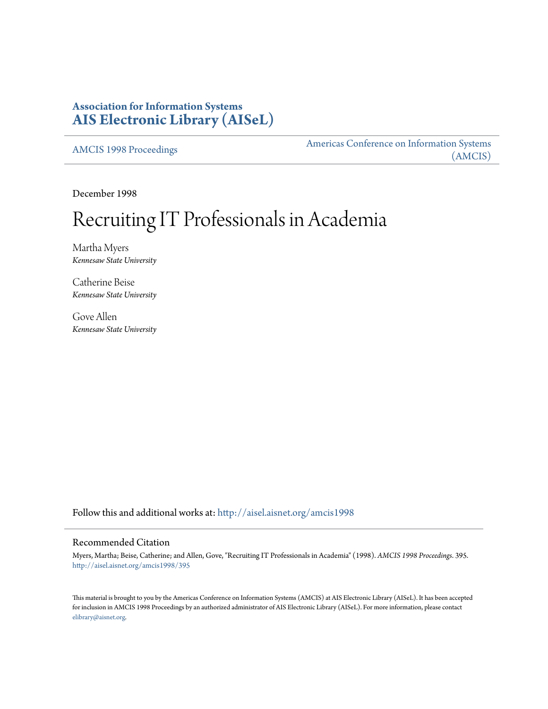# **Association for Information Systems [AIS Electronic Library \(AISeL\)](http://aisel.aisnet.org?utm_source=aisel.aisnet.org%2Famcis1998%2F395&utm_medium=PDF&utm_campaign=PDFCoverPages)**

[AMCIS 1998 Proceedings](http://aisel.aisnet.org/amcis1998?utm_source=aisel.aisnet.org%2Famcis1998%2F395&utm_medium=PDF&utm_campaign=PDFCoverPages)

[Americas Conference on Information Systems](http://aisel.aisnet.org/amcis?utm_source=aisel.aisnet.org%2Famcis1998%2F395&utm_medium=PDF&utm_campaign=PDFCoverPages) [\(AMCIS\)](http://aisel.aisnet.org/amcis?utm_source=aisel.aisnet.org%2Famcis1998%2F395&utm_medium=PDF&utm_campaign=PDFCoverPages)

December 1998

# Recruiting IT Professionals in Academia

Martha Myers *Kennesaw State University*

Catherine Beise *Kennesaw State University*

Gove Allen *Kennesaw State University*

Follow this and additional works at: [http://aisel.aisnet.org/amcis1998](http://aisel.aisnet.org/amcis1998?utm_source=aisel.aisnet.org%2Famcis1998%2F395&utm_medium=PDF&utm_campaign=PDFCoverPages)

## Recommended Citation

Myers, Martha; Beise, Catherine; and Allen, Gove, "Recruiting IT Professionals in Academia" (1998). *AMCIS 1998 Proceedings*. 395. [http://aisel.aisnet.org/amcis1998/395](http://aisel.aisnet.org/amcis1998/395?utm_source=aisel.aisnet.org%2Famcis1998%2F395&utm_medium=PDF&utm_campaign=PDFCoverPages)

This material is brought to you by the Americas Conference on Information Systems (AMCIS) at AIS Electronic Library (AISeL). It has been accepted for inclusion in AMCIS 1998 Proceedings by an authorized administrator of AIS Electronic Library (AISeL). For more information, please contact [elibrary@aisnet.org.](mailto:elibrary@aisnet.org%3E)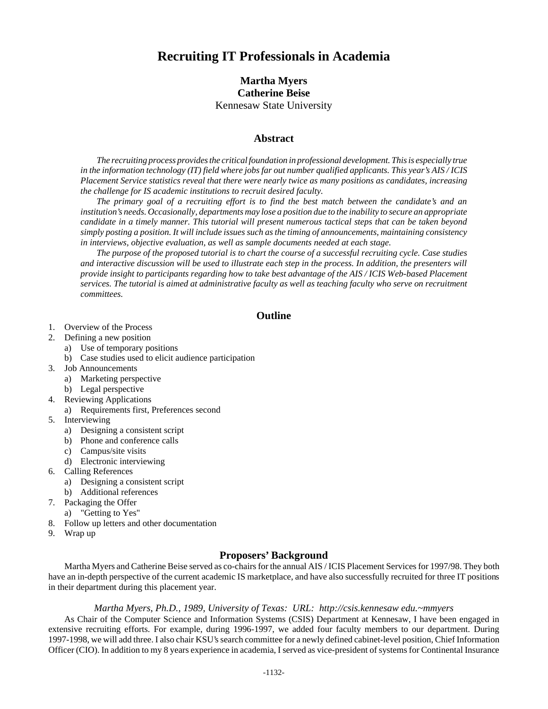# **Recruiting IT Professionals in Academia**

# **Martha Myers Catherine Beise** Kennesaw State University

## **Abstract**

*The recruiting process provides the critical foundation in professional development. This is especially true in the information technology (IT) field where jobs far out number qualified applicants. This year's AIS / ICIS Placement Service statistics reveal that there were nearly twice as many positions as candidates, increasing the challenge for IS academic institutions to recruit desired faculty.*

*The primary goal of a recruiting effort is to find the best match between the candidate's and an institution's needs. Occasionally, departments may lose a position due to the inability to secure an appropriate candidate in a timely manner. This tutorial will present numerous tactical steps that can be taken beyond simply posting a position. It will include issues such as the timing of announcements, maintaining consistency in interviews, objective evaluation, as well as sample documents needed at each stage.*

*The purpose of the proposed tutorial is to chart the course of a successful recruiting cycle. Case studies and interactive discussion will be used to illustrate each step in the process. In addition, the presenters will provide insight to participants regarding how to take best advantage of the AIS / ICIS Web-based Placement services. The tutorial is aimed at administrative faculty as well as teaching faculty who serve on recruitment committees.*

#### **Outline**

- 1. Overview of the Process
- 2. Defining a new position
	- a) Use of temporary positions
	- b) Case studies used to elicit audience participation
- 3. Job Announcements
	- a) Marketing perspective
	- b) Legal perspective
- 4. Reviewing Applications
	- a) Requirements first, Preferences second
- 5. Interviewing
	- a) Designing a consistent script
	- b) Phone and conference calls
	- c) Campus/site visits
	- d) Electronic interviewing
- 6. Calling References
	- a) Designing a consistent script
	- b) Additional references
- 7. Packaging the Offer
	- a) "Getting to Yes"
- 8. Follow up letters and other documentation
- 9. Wrap up

### **Proposers' Background**

Martha Myers and Catherine Beise served as co-chairs for the annual AIS / ICIS Placement Services for 1997/98. They both have an in-depth perspective of the current academic IS marketplace, and have also successfully recruited for three IT positions in their department during this placement year.

#### *Martha Myers, Ph.D., 1989, University of Texas: URL: http://csis.kennesaw edu.~mmyers*

As Chair of the Computer Science and Information Systems (CSIS) Department at Kennesaw, I have been engaged in extensive recruiting efforts. For example, during 1996-1997, we added four faculty members to our department. During 1997-1998, we will add three. I also chair KSU's search committee for a newly defined cabinet-level position, Chief Information Officer (CIO). In addition to my 8 years experience in academia, I served as vice-president of systems for Continental Insurance